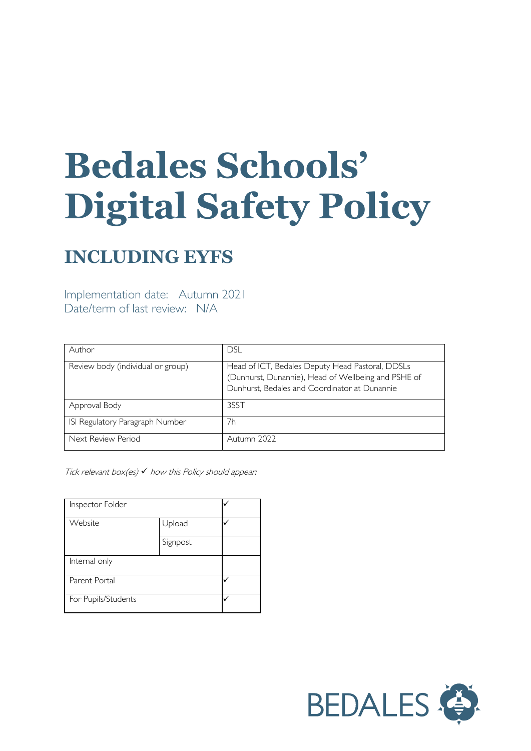# **Bedales Schools' Digital Safety Policy**

# **INCLUDING EYFS**

Implementation date: Autumn 2021 Date/term of last review: N/A

| Author                            | <b>DSL</b>                                                                                                                                               |
|-----------------------------------|----------------------------------------------------------------------------------------------------------------------------------------------------------|
| Review body (individual or group) | Head of ICT, Bedales Deputy Head Pastoral, DDSLs<br>(Dunhurst, Dunannie), Head of Wellbeing and PSHE of<br>Dunhurst, Bedales and Coordinator at Dunannie |
| Approval Body                     | 3SST                                                                                                                                                     |
| ISI Regulatory Paragraph Number   | 7h                                                                                                                                                       |
| Next Review Period                | Autumn 2022                                                                                                                                              |

Tick relevant box $(es)$   $\checkmark$  how this Policy should appear:

| Inspector Folder    |          |  |
|---------------------|----------|--|
| Website             | Upload   |  |
|                     | Signpost |  |
| Internal only       |          |  |
| Parent Portal       |          |  |
| For Pupils/Students |          |  |

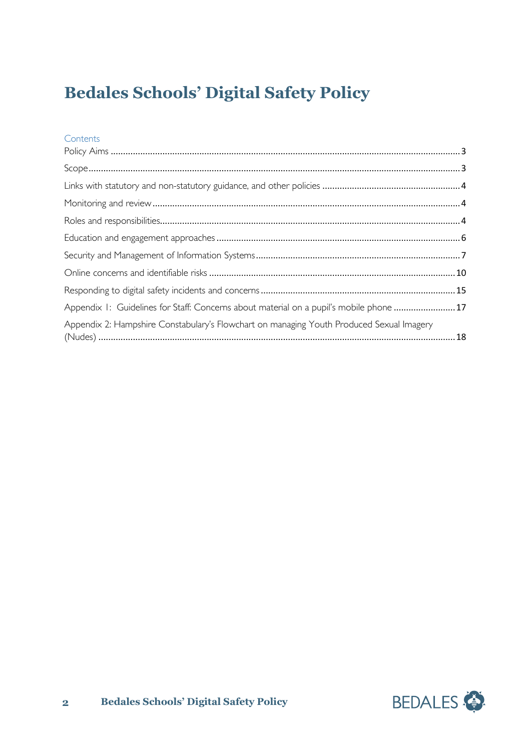# **Bedales Schools' Digital Safety Policy**

# **Contents**

| Appendix 1: Guidelines for Staff: Concerns about material on a pupil's mobile phone 17   |  |
|------------------------------------------------------------------------------------------|--|
| Appendix 2: Hampshire Constabulary's Flowchart on managing Youth Produced Sexual Imagery |  |

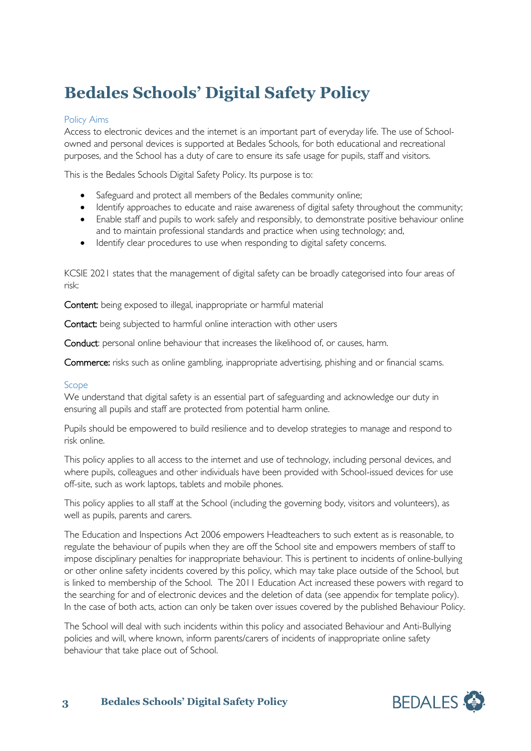# **Bedales Schools' Digital Safety Policy**

# <span id="page-2-0"></span>Policy Aims

Access to electronic devices and the internet is an important part of everyday life. The use of Schoolowned and personal devices is supported at Bedales Schools, for both educational and recreational purposes, and the School has a duty of care to ensure its safe usage for pupils, staff and visitors.

This is the Bedales Schools Digital Safety Policy. Its purpose is to:

- Safeguard and protect all members of the Bedales community online;
- Identify approaches to educate and raise awareness of digital safety throughout the community;
- Enable staff and pupils to work safely and responsibly, to demonstrate positive behaviour online and to maintain professional standards and practice when using technology; and,
- Identify clear procedures to use when responding to digital safety concerns.

KCSIE 2021 states that the management of digital safety can be broadly categorised into four areas of risk:

Content: being exposed to illegal, inappropriate or harmful material

Contact: being subjected to harmful online interaction with other users

Conduct: personal online behaviour that increases the likelihood of, or causes, harm.

Commerce: risks such as online gambling, inappropriate advertising, phishing and or financial scams.

# <span id="page-2-1"></span>Scope

We understand that digital safety is an essential part of safeguarding and acknowledge our duty in ensuring all pupils and staff are protected from potential harm online.

Pupils should be empowered to build resilience and to develop strategies to manage and respond to risk online.

This policy applies to all access to the internet and use of technology, including personal devices, and where pupils, colleagues and other individuals have been provided with School-issued devices for use off-site, such as work laptops, tablets and mobile phones.

This policy applies to all staff at the School (including the governing body, visitors and volunteers), as well as pupils, parents and carers.

The Education and Inspections Act 2006 empowers Headteachers to such extent as is reasonable, to regulate the behaviour of pupils when they are off the School site and empowers members of staff to impose disciplinary penalties for inappropriate behaviour. This is pertinent to incidents of online-bullying or other online safety incidents covered by this policy, which may take place outside of the School, but is linked to membership of the School. The 2011 Education Act increased these powers with regard to the searching for and of electronic devices and the deletion of data (see appendix for template policy). In the case of both acts, action can only be taken over issues covered by the published Behaviour Policy.

The School will deal with such incidents within this policy and associated Behaviour and Anti-Bullying policies and will, where known, inform parents/carers of incidents of inappropriate online safety behaviour that take place out of School.

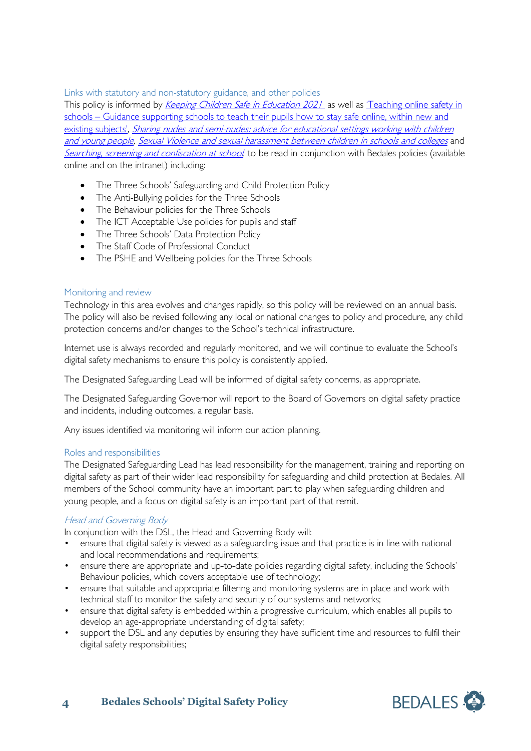<span id="page-3-0"></span>Links with statutory and non-statutory guidance, and other policies

This policy is informed by *Keeping Children Safe in Education 2021* as well as 'Teaching online safety in schools – [Guidance supporting schools to teach their pupils how to stay safe online, within new and](https://assets.publishing.service.gov.uk/government/uploads/system/uploads/attachment_data/file/811796/Teaching_online_safety_in_school.pdf)  [existing subjects',](https://assets.publishing.service.gov.uk/government/uploads/system/uploads/attachment_data/file/811796/Teaching_online_safety_in_school.pdf) Sharing nudes and semi-nudes: advice for educational settings working with children [and young people,](https://www.gov.uk/government/publications/sharing-nudes-and-semi-nudes-advice-for-education-settings-working-with-children-and-young-people) [Sexual Violence and sexual harassment between children in schools and colleges](https://www.gov.uk/government/publications/sexual-violence-and-sexual-harassment-between-children-in-schools-and-colleges) and [Searching, screening and confiscation at school](https://www.gov.uk/government/publications/searching-screening-and-confiscation), to be read in conjunction with Bedales policies (available online and on the intranet) including:

- The Three Schools' Safeguarding and Child Protection Policy
- The Anti-Bullying policies for the Three Schools
- The Behaviour policies for the Three Schools
- The ICT Acceptable Use policies for pupils and staff
- The Three Schools' Data Protection Policy
- The Staff Code of Professional Conduct
- The PSHE and Wellbeing policies for the Three Schools

# <span id="page-3-1"></span>Monitoring and review

Technology in this area evolves and changes rapidly, so this policy will be reviewed on an annual basis. The policy will also be revised following any local or national changes to policy and procedure, any child protection concerns and/or changes to the School's technical infrastructure.

Internet use is always recorded and regularly monitored, and we will continue to evaluate the School's digital safety mechanisms to ensure this policy is consistently applied.

The Designated Safeguarding Lead will be informed of digital safety concerns, as appropriate.

The Designated Safeguarding Governor will report to the Board of Governors on digital safety practice and incidents, including outcomes, a regular basis.

Any issues identified via monitoring will inform our action planning.

# <span id="page-3-2"></span>Roles and responsibilities

The Designated Safeguarding Lead has lead responsibility for the management, training and reporting on digital safety as part of their wider lead responsibility for safeguarding and child protection at Bedales. All members of the School community have an important part to play when safeguarding children and young people, and a focus on digital safety is an important part of that remit.

# Head and Governing Body

In conjunction with the DSL, the Head and Governing Body will:

- ensure that digital safety is viewed as a safeguarding issue and that practice is in line with national and local recommendations and requirements;
- ensure there are appropriate and up-to-date policies regarding digital safety, including the Schools' Behaviour policies, which covers acceptable use of technology;
- ensure that suitable and appropriate filtering and monitoring systems are in place and work with technical staff to monitor the safety and security of our systems and networks;
- ensure that digital safety is embedded within a progressive curriculum, which enables all pupils to develop an age-appropriate understanding of digital safety;
- support the DSL and any deputies by ensuring they have sufficient time and resources to fulfil their digital safety responsibilities;

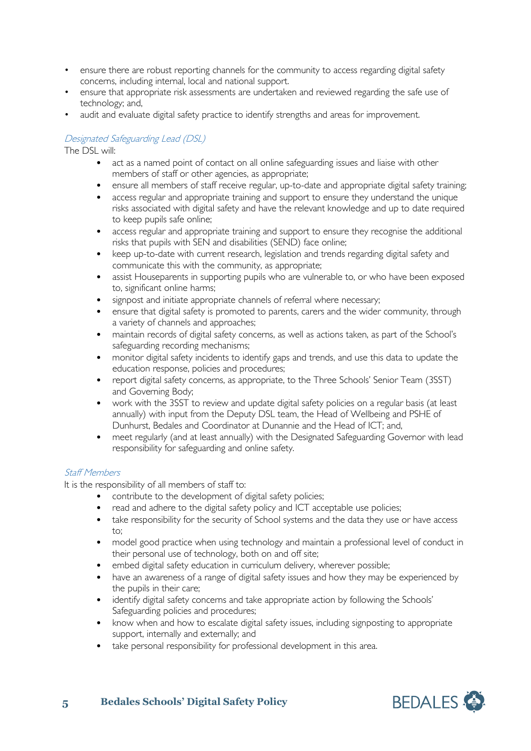- ensure there are robust reporting channels for the community to access regarding digital safety concerns, including internal, local and national support.
- ensure that appropriate risk assessments are undertaken and reviewed regarding the safe use of technology; and,
- audit and evaluate digital safety practice to identify strengths and areas for improvement.

# Designated Safeguarding Lead (DSL)

The DSL will:

- act as a named point of contact on all online safeguarding issues and liaise with other members of staff or other agencies, as appropriate;
- ensure all members of staff receive regular, up-to-date and appropriate digital safety training;
- access regular and appropriate training and support to ensure they understand the unique risks associated with digital safety and have the relevant knowledge and up to date required to keep pupils safe online;
- access regular and appropriate training and support to ensure they recognise the additional risks that pupils with SEN and disabilities (SEND) face online;
- keep up-to-date with current research, legislation and trends regarding digital safety and communicate this with the community, as appropriate;
- assist Houseparents in supporting pupils who are vulnerable to, or who have been exposed to, significant online harms;
- signpost and initiate appropriate channels of referral where necessary;
- ensure that digital safety is promoted to parents, carers and the wider community, through a variety of channels and approaches;
- maintain records of digital safety concerns, as well as actions taken, as part of the School's safeguarding recording mechanisms;
- monitor digital safety incidents to identify gaps and trends, and use this data to update the education response, policies and procedures;
- report digital safety concerns, as appropriate, to the Three Schools' Senior Team (3SST) and Governing Body;
- work with the 3SST to review and update digital safety policies on a regular basis (at least annually) with input from the Deputy DSL team, the Head of Wellbeing and PSHE of Dunhurst, Bedales and Coordinator at Dunannie and the Head of ICT; and,
- meet regularly (and at least annually) with the Designated Safeguarding Governor with lead responsibility for safeguarding and online safety.

#### Staff Members

It is the responsibility of all members of staff to:

- contribute to the development of digital safety policies;
- read and adhere to the digital safety policy and ICT acceptable use policies;
- take responsibility for the security of School systems and the data they use or have access  $\dots$
- model good practice when using technology and maintain a professional level of conduct in their personal use of technology, both on and off site;
- embed digital safety education in curriculum delivery, wherever possible;
- have an awareness of a range of digital safety issues and how they may be experienced by the pupils in their care;
- identify digital safety concerns and take appropriate action by following the Schools' Safeguarding policies and procedures;
- know when and how to escalate digital safety issues, including signposting to appropriate support, internally and externally; and
- take personal responsibility for professional development in this area.

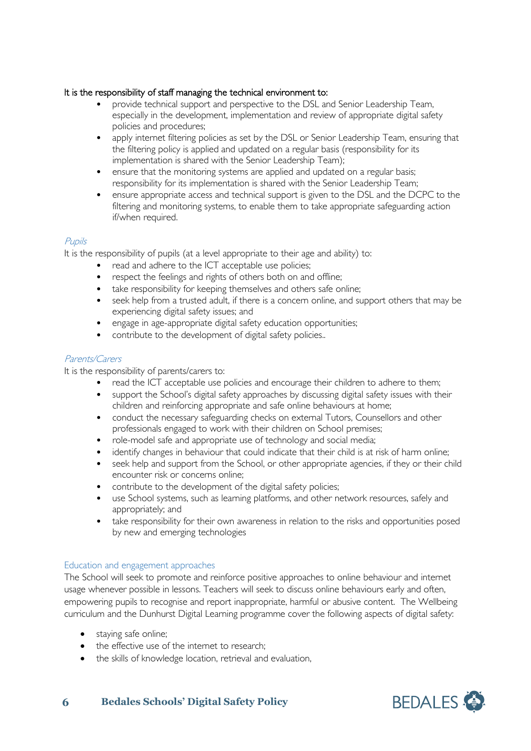# It is the responsibility of staff managing the technical environment to:

- provide technical support and perspective to the DSL and Senior Leadership Team, especially in the development, implementation and review of appropriate digital safety policies and procedures;
- apply internet filtering policies as set by the DSL or Senior Leadership Team, ensuring that the filtering policy is applied and updated on a regular basis (responsibility for its implementation is shared with the Senior Leadership Team);
- ensure that the monitoring systems are applied and updated on a regular basis; responsibility for its implementation is shared with the Senior Leadership Team;
- ensure appropriate access and technical support is given to the DSL and the DCPC to the filtering and monitoring systems, to enable them to take appropriate safeguarding action if/when required.

# Pupils

It is the responsibility of pupils (at a level appropriate to their age and ability) to:

- read and adhere to the ICT acceptable use policies;
- respect the feelings and rights of others both on and offline;
- take responsibility for keeping themselves and others safe online;
- seek help from a trusted adult, if there is a concern online, and support others that may be experiencing digital safety issues; and
- engage in age-appropriate digital safety education opportunities;
- contribute to the development of digital safety policies..

# Parents/Carers

It is the responsibility of parents/carers to:

- read the ICT acceptable use policies and encourage their children to adhere to them;
- support the School's digital safety approaches by discussing digital safety issues with their children and reinforcing appropriate and safe online behaviours at home;
- conduct the necessary safeguarding checks on external Tutors, Counsellors and other professionals engaged to work with their children on School premises;
- role-model safe and appropriate use of technology and social media;
- identify changes in behaviour that could indicate that their child is at risk of harm online;
- seek help and support from the School, or other appropriate agencies, if they or their child encounter risk or concerns online;
- contribute to the development of the digital safety policies;
- use School systems, such as learning platforms, and other network resources, safely and appropriately; and
- take responsibility for their own awareness in relation to the risks and opportunities posed by new and emerging technologies

# <span id="page-5-0"></span>Education and engagement approaches

The School will seek to promote and reinforce positive approaches to online behaviour and internet usage whenever possible in lessons. Teachers will seek to discuss online behaviours early and often, empowering pupils to recognise and report inappropriate, harmful or abusive content. The Wellbeing curriculum and the Dunhurst Digital Learning programme cover the following aspects of digital safety:

- staying safe online;
- the effective use of the internet to research;
- the skills of knowledge location, retrieval and evaluation,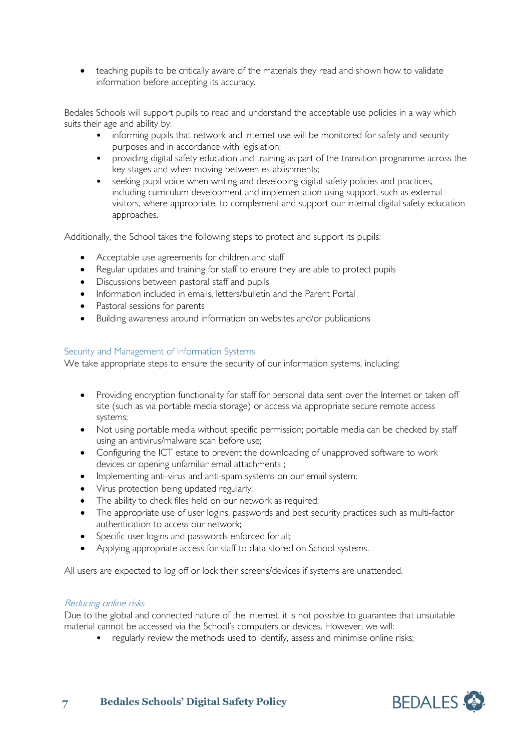• teaching pupils to be critically aware of the materials they read and shown how to validate information before accepting its accuracy.

Bedales Schools will support pupils to read and understand the acceptable use policies in a way which suits their age and ability by:

- informing pupils that network and internet use will be monitored for safety and security purposes and in accordance with legislation;
- providing digital safety education and training as part of the transition programme across the key stages and when moving between establishments;
- seeking pupil voice when writing and developing digital safety policies and practices, including curriculum development and implementation using support, such as external visitors, where appropriate, to complement and support our internal digital safety education approaches.

Additionally, the School takes the following steps to protect and support its pupils:

- Acceptable use agreements for children and staff
- Regular updates and training for staff to ensure they are able to protect pupils
- Discussions between pastoral staff and pupils
- Information included in emails, letters/bulletin and the Parent Portal
- Pastoral sessions for parents
- Building awareness around information on websites and/or publications

### <span id="page-6-0"></span>Security and Management of Information Systems

We take appropriate steps to ensure the security of our information systems, including:

- Providing encryption functionality for staff for personal data sent over the Internet or taken off site (such as via portable media storage) or access via appropriate secure remote access systems;
- Not using portable media without specific permission; portable media can be checked by staff using an antivirus/malware scan before use;
- Configuring the ICT estate to prevent the downloading of unapproved software to work devices or opening unfamiliar email attachments ;
- Implementing anti-virus and anti-spam systems on our email system;
- Virus protection being updated regularly;
- The ability to check files held on our network as required;
- The appropriate use of user logins, passwords and best security practices such as multi-factor authentication to access our network;
- Specific user logins and passwords enforced for all;
- Applying appropriate access for staff to data stored on School systems.

All users are expected to log off or lock their screens/devices if systems are unattended.

#### Reducing online risks

Due to the global and connected nature of the internet, it is not possible to guarantee that unsuitable material cannot be accessed via the School's computers or devices. However, we will:

• regularly review the methods used to identify, assess and minimise online risks;

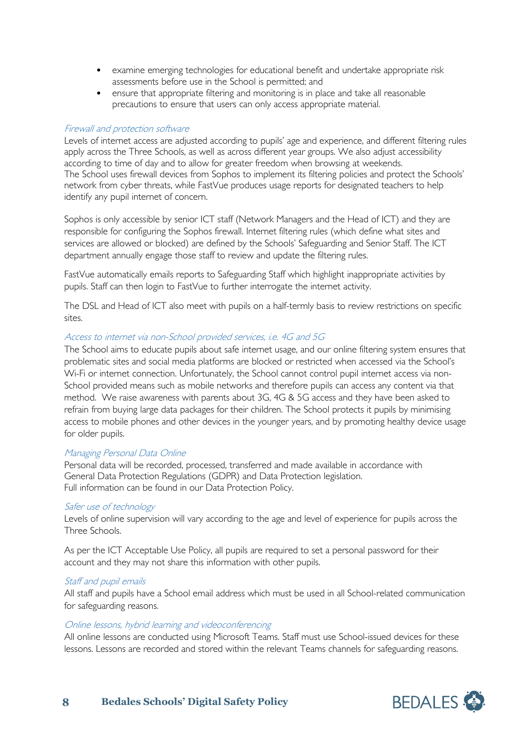- examine emerging technologies for educational benefit and undertake appropriate risk assessments before use in the School is permitted; and
- ensure that appropriate filtering and monitoring is in place and take all reasonable precautions to ensure that users can only access appropriate material.

### Firewall and protection software

Levels of internet access are adjusted according to pupils' age and experience, and different filtering rules apply across the Three Schools, as well as across different year groups. We also adjust accessibility according to time of day and to allow for greater freedom when browsing at weekends. The School uses firewall devices from Sophos to implement its filtering policies and protect the Schools' network from cyber threats, while FastVue produces usage reports for designated teachers to help identify any pupil internet of concern.

Sophos is only accessible by senior ICT staff (Network Managers and the Head of ICT) and they are responsible for configuring the Sophos firewall. Internet filtering rules (which define what sites and services are allowed or blocked) are defined by the Schools' Safeguarding and Senior Staff. The ICT department annually engage those staff to review and update the filtering rules.

FastVue automatically emails reports to Safeguarding Staff which highlight inappropriate activities by pupils. Staff can then login to FastVue to further interrogate the internet activity.

The DSL and Head of ICT also meet with pupils on a half-termly basis to review restrictions on specific sites.

### Access to internet via non-School provided services, i.e. 4G and 5G

The School aims to educate pupils about safe internet usage, and our online filtering system ensures that problematic sites and social media platforms are blocked or restricted when accessed via the School's Wi-Fi or internet connection. Unfortunately, the School cannot control pupil internet access via non-School provided means such as mobile networks and therefore pupils can access any content via that method. We raise awareness with parents about 3G, 4G & 5G access and they have been asked to refrain from buying large data packages for their children. The School protects it pupils by minimising access to mobile phones and other devices in the younger years, and by promoting healthy device usage for older pupils.

#### Managing Personal Data Online

Personal data will be recorded, processed, transferred and made available in accordance with General Data Protection Regulations (GDPR) and Data Protection legislation. Full information can be found in our Data Protection Policy.

#### Safer use of technology

Levels of online supervision will vary according to the age and level of experience for pupils across the Three Schools.

As per the ICT Acceptable Use Policy, all pupils are required to set a personal password for their account and they may not share this information with other pupils.

#### Staff and pupil emails

All staff and pupils have a School email address which must be used in all School-related communication for safeguarding reasons.

#### Online lessons, hybrid learning and videoconferencing

All online lessons are conducted using Microsoft Teams. Staff must use School-issued devices for these lessons. Lessons are recorded and stored within the relevant Teams channels for safeguarding reasons.

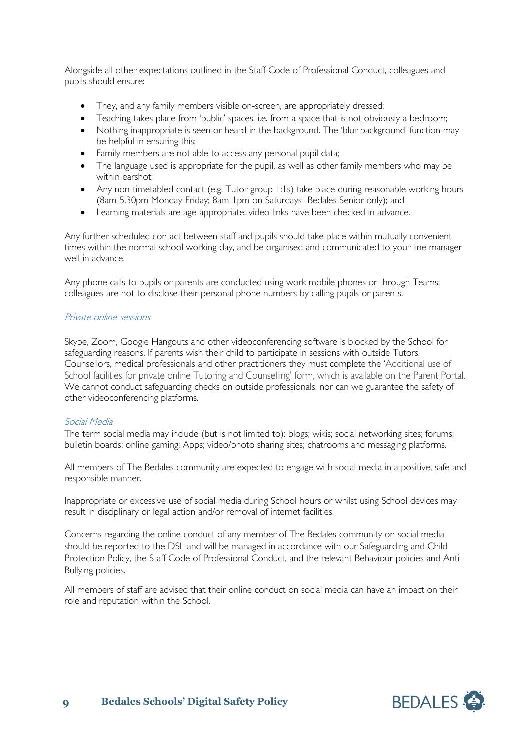Alongside all other expectations outlined in the Staff Code of Professional Conduct, colleagues and pupils should ensure:

- They, and any family members visible on-screen, are appropriately dressed;
- Teaching takes place from 'public' spaces, i.e. from a space that is not obviously a bedroom;
- Nothing inappropriate is seen or heard in the background. The 'blur background' function may be helpful in ensuring this;
- Family members are not able to access any personal pupil data;
- The language used is appropriate for the pupil, as well as other family members who may be within earshot;
- Any non-timetabled contact (e.g. Tutor group 1:1s) take place during reasonable working hours (8am-5.30pm Monday-Friday; 8am-1pm on Saturdays- Bedales Senior only); and
- Learning materials are age-appropriate; video links have been checked in advance.

Any further scheduled contact between staff and pupils should take place within mutually convenient times within the normal school working day, and be organised and communicated to your line manager well in advance.

Any phone calls to pupils or parents are conducted using work mobile phones or through Teams; colleagues are not to disclose their personal phone numbers by calling pupils or parents.

#### Private online sessions

Skype, Zoom, Google Hangouts and other videoconferencing software is blocked by the School for safeguarding reasons. If parents wish their child to participate in sessions with outside Tutors, Counsellors, medical professionals and other practitioners they must complete the 'Additional use of School facilities for private online Tutoring and Counselling' form, which is available on the Parent Portal. We cannot conduct safeguarding checks on outside professionals, nor can we guarantee the safety of other videoconferencing platforms.

# Social Media

The term social media may include (but is not limited to): blogs; wikis; social networking sites; forums; bulletin boards; online gaming; Apps; video/photo sharing sites; chatrooms and messaging platforms.

All members of The Bedales community are expected to engage with social media in a positive, safe and responsible manner.

Inappropriate or excessive use of social media during School hours or whilst using School devices may result in disciplinary or legal action and/or removal of internet facilities.

Concerns regarding the online conduct of any member of The Bedales community on social media should be reported to the DSL and will be managed in accordance with our Safeguarding and Child Protection Policy, the Staff Code of Professional Conduct, and the relevant Behaviour policies and Anti-Bullying policies.

All members of staff are advised that their online conduct on social media can have an impact on their role and reputation within the School.

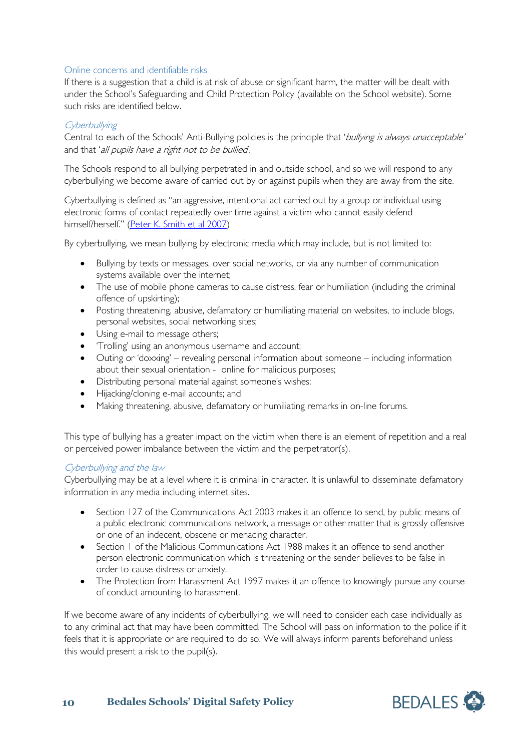# <span id="page-9-0"></span>Online concerns and identifiable risks

If there is a suggestion that a child is at risk of abuse or significant harm, the matter will be dealt with under the School's Safeguarding and Child Protection Policy (available on the School website). Some such risks are identified below.

#### **Cyberbullying**

Central to each of the Schools' Anti-Bullying policies is the principle that 'bullying is always unacceptable' and that 'all pupils have a right not to be bullied.

The Schools respond to all bullying perpetrated in and outside school, and so we will respond to any cyberbullying we become aware of carried out by or against pupils when they are away from the site.

Cyberbullying is defined as "an aggressive, intentional act carried out by a group or individual using electronic forms of contact repeatedly over time against a victim who cannot easily defend himself/herself." [\(Peter K. Smith et al 2007\)](http://citeseerx.ist.psu.edu/viewdoc/download?doi=10.1.1.687.8140&rep=rep1&type=pdf)

By cyberbullying, we mean bullying by electronic media which may include, but is not limited to:

- Bullying by texts or messages, over social networks, or via any number of communication systems available over the internet;
- The use of mobile phone cameras to cause distress, fear or humiliation (including the criminal offence of upskirting);
- Posting threatening, abusive, defamatory or humiliating material on websites, to include blogs, personal websites, social networking sites;
- Using e-mail to message others;
- 'Trolling' using an anonymous username and account;
- Outing or 'doxxing' revealing personal information about someone including information about their sexual orientation - online for malicious purposes;
- Distributing personal material against someone's wishes;
- Hijacking/cloning e-mail accounts; and
- Making threatening, abusive, defamatory or humiliating remarks in on-line forums.

This type of bullying has a greater impact on the victim when there is an element of repetition and a real or perceived power imbalance between the victim and the perpetrator(s).

#### Cyberbullying and the law

Cyberbullying may be at a level where it is criminal in character. It is unlawful to disseminate defamatory information in any media including internet sites.

- Section 127 of the Communications Act 2003 makes it an offence to send, by public means of a public electronic communications network, a message or other matter that is grossly offensive or one of an indecent, obscene or menacing character.
- Section I of the Malicious Communications Act 1988 makes it an offence to send another person electronic communication which is threatening or the sender believes to be false in order to cause distress or anxiety.
- The Protection from Harassment Act 1997 makes it an offence to knowingly pursue any course of conduct amounting to harassment.

If we become aware of any incidents of cyberbullying, we will need to consider each case individually as to any criminal act that may have been committed. The School will pass on information to the police if it feels that it is appropriate or are required to do so. We will always inform parents beforehand unless this would present a risk to the pupil(s).

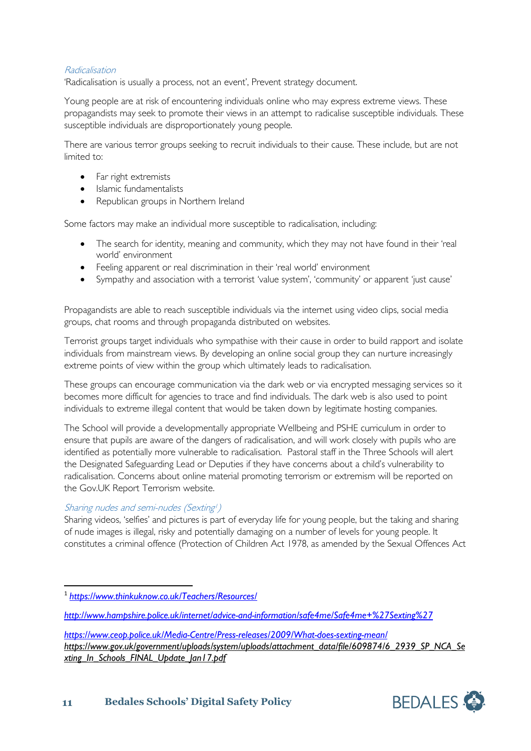# Radicalisation

'Radicalisation is usually a process, not an event', Prevent strategy document.

Young people are at risk of encountering individuals online who may express extreme views. These propagandists may seek to promote their views in an attempt to radicalise susceptible individuals. These susceptible individuals are disproportionately young people.

There are various terror groups seeking to recruit individuals to their cause. These include, but are not limited to:

- Far right extremists
- Islamic fundamentalists
- Republican groups in Northern Ireland

Some factors may make an individual more susceptible to radicalisation, including:

- The search for identity, meaning and community, which they may not have found in their 'real world' environment
- Feeling apparent or real discrimination in their 'real world' environment
- Sympathy and association with a terrorist 'value system', 'community' or apparent 'just cause'

Propagandists are able to reach susceptible individuals via the internet using video clips, social media groups, chat rooms and through propaganda distributed on websites.

Terrorist groups target individuals who sympathise with their cause in order to build rapport and isolate individuals from mainstream views. By developing an online social group they can nurture increasingly extreme points of view within the group which ultimately leads to radicalisation.

These groups can encourage communication via the dark web or via encrypted messaging services so it becomes more difficult for agencies to trace and find individuals. The dark web is also used to point individuals to extreme illegal content that would be taken down by legitimate hosting companies.

The School will provide a developmentally appropriate Wellbeing and PSHE curriculum in order to ensure that pupils are aware of the dangers of radicalisation, and will work closely with pupils who are identified as potentially more vulnerable to radicalisation. Pastoral staff in the Three Schools will alert the Designated Safeguarding Lead or Deputies if they have concerns about a child's vulnerability to radicalisation. Concerns about online material promoting terrorism or extremism will be reported on the Gov.UK Report Terrorism website.

# Sharing nudes and semi-nudes (Sexting!)

Sharing videos, 'selfies' and pictures is part of everyday life for young people, but the taking and sharing of nude images is illegal, risky and potentially damaging on a number of levels for young people. It constitutes a criminal offence (Protection of Children Act 1978, as amended by the Sexual Offences Act



<span id="page-10-0"></span> <sup>1</sup> *<https://www.thinkuknow.co.uk/Teachers/Resources/>*

*<http://www.hampshire.police.uk/internet/advice-and-information/safe4me/Safe4me+%27Sexting%27>*

*<https://www.ceop.police.uk/Media-Centre/Press-releases/2009/What-does-sexting-mean/> https://www.gov.uk/government/uploads/system/uploads/attachment\_data/file/609874/6\_2939\_SP\_NCA\_Se xting\_In\_Schools\_FINAL\_Update\_Jan17.pdf*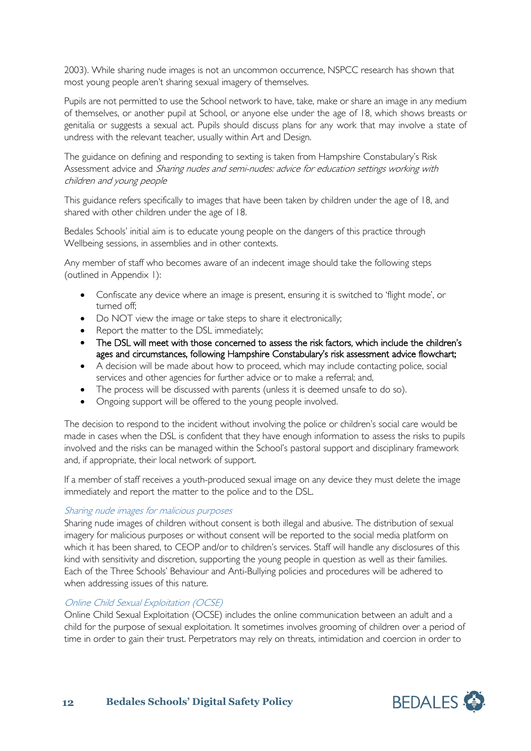2003). While sharing nude images is not an uncommon occurrence, NSPCC research has shown that most young people aren't sharing sexual imagery of themselves.

Pupils are not permitted to use the School network to have, take, make or share an image in any medium of themselves, or another pupil at School, or anyone else under the age of 18, which shows breasts or genitalia or suggests a sexual act. Pupils should discuss plans for any work that may involve a state of undress with the relevant teacher, usually within Art and Design.

The guidance on defining and responding to sexting is taken from Hampshire Constabulary's Risk Assessment advice and Sharing nudes and semi-nudes: advice for education settings working with children and young people

This guidance refers specifically to images that have been taken by children under the age of 18, and shared with other children under the age of 18.

Bedales Schools' initial aim is to educate young people on the dangers of this practice through Wellbeing sessions, in assemblies and in other contexts.

Any member of staff who becomes aware of an indecent image should take the following steps (outlined in Appendix 1):

- Confiscate any device where an image is present, ensuring it is switched to 'flight mode', or turned off;
- Do NOT view the image or take steps to share it electronically;
- Report the matter to the DSL immediately;
- The DSL will meet with those concerned to assess the risk factors, which include the children's ages and circumstances, following Hampshire Constabulary's risk assessment advice flowchart;
- A decision will be made about how to proceed, which may include contacting police, social services and other agencies for further advice or to make a referral; and,
- The process will be discussed with parents (unless it is deemed unsafe to do so).
- Ongoing support will be offered to the young people involved.

The decision to respond to the incident without involving the police or children's social care would be made in cases when the DSL is confident that they have enough information to assess the risks to pupils involved and the risks can be managed within the School's pastoral support and disciplinary framework and, if appropriate, their local network of support.

If a member of staff receives a youth-produced sexual image on any device they must delete the image immediately and report the matter to the police and to the DSL.

#### Sharing nude images for malicious purposes

Sharing nude images of children without consent is both illegal and abusive. The distribution of sexual imagery for malicious purposes or without consent will be reported to the social media platform on which it has been shared, to CEOP and/or to children's services. Staff will handle any disclosures of this kind with sensitivity and discretion, supporting the young people in question as well as their families. Each of the Three Schools' Behaviour and Anti-Bullying policies and procedures will be adhered to when addressing issues of this nature.

#### Online Child Sexual Exploitation (OCSE)

Online Child Sexual Exploitation (OCSE) includes the online communication between an adult and a child for the purpose of sexual exploitation. It sometimes involves grooming of children over a period of time in order to gain their trust. Perpetrators may rely on threats, intimidation and coercion in order to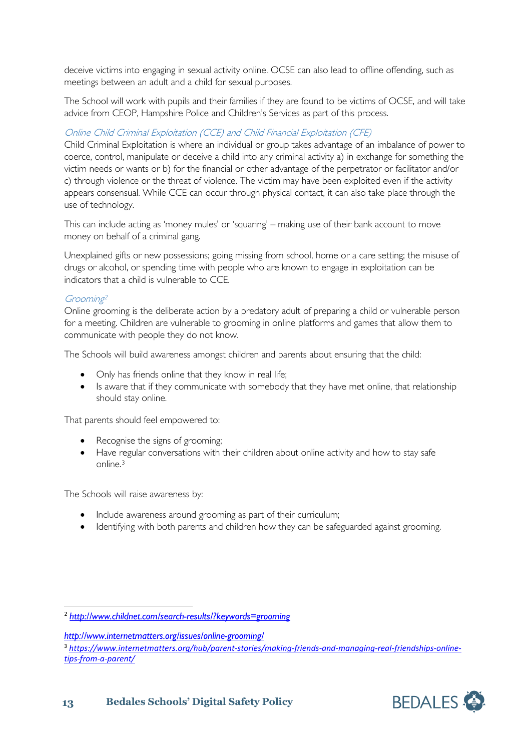deceive victims into engaging in sexual activity online. OCSE can also lead to offline offending, such as meetings between an adult and a child for sexual purposes.

The School will work with pupils and their families if they are found to be victims of OCSE, and will take advice from CEOP, Hampshire Police and Children's Services as part of this process.

# Online Child Criminal Exploitation (CCE) and Child Financial Exploitation (CFE)

Child Criminal Exploitation is where an individual or group takes advantage of an imbalance of power to coerce, control, manipulate or deceive a child into any criminal activity a) in exchange for something the victim needs or wants or b) for the financial or other advantage of the perpetrator or facilitator and/or c) through violence or the threat of violence. The victim may have been exploited even if the activity appears consensual. While CCE can occur through physical contact, it can also take place through the use of technology.

This can include acting as 'money mules' or 'squaring' – making use of their bank account to move money on behalf of a criminal gang.

Unexplained gifts or new possessions; going missing from school, home or a care setting; the misuse of drugs or alcohol, or spending time with people who are known to engage in exploitation can be indicators that a child is vulnerable to CCE.

# Grooming[2](#page-12-0)

Online grooming is the deliberate action by a predatory adult of preparing a child or vulnerable person for a meeting. Children are vulnerable to grooming in online platforms and games that allow them to communicate with people they do not know.

The Schools will build awareness amongst children and parents about ensuring that the child:

- Only has friends online that they know in real life;
- Is aware that if they communicate with somebody that they have met online, that relationship should stay online.

That parents should feel empowered to:

- Recognise the signs of grooming;
- Have regular conversations with their children about online activity and how to stay safe online. [3](#page-12-1)

The Schools will raise awareness by:

- Include awareness around grooming as part of their curriculum;
- Identifying with both parents and children how they can be safeguarded against grooming.

*<http://www.internetmatters.org/issues/online-grooming/>*

<span id="page-12-0"></span> <sup>2</sup> *<http://www.childnet.com/search-results/?keywords=grooming>*

<span id="page-12-1"></span><sup>3</sup> *[https://www.internetmatters.org/hub/parent-stories/making-friends-and-managing-real-friendships-online](https://www.internetmatters.org/hub/parent-stories/making-friends-and-managing-real-friendships-online-tips-from-a-parent/)[tips-from-a-parent/](https://www.internetmatters.org/hub/parent-stories/making-friends-and-managing-real-friendships-online-tips-from-a-parent/)*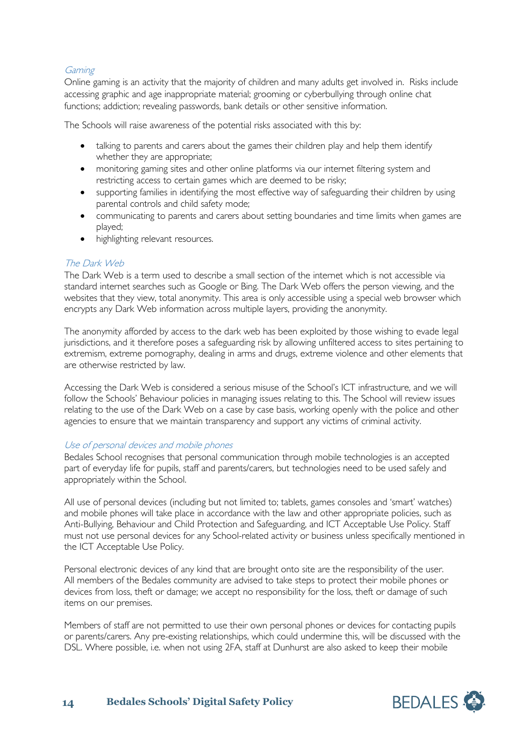# **Gaming**

Online gaming is an activity that the majority of children and many adults get involved in. Risks include accessing graphic and age inappropriate material; grooming or cyberbullying through online chat functions; addiction; revealing passwords, bank details or other sensitive information.

The Schools will raise awareness of the potential risks associated with this by:

- talking to parents and carers about the games their children play and help them identify whether they are appropriate;
- monitoring gaming sites and other online platforms via our internet filtering system and restricting access to certain games which are deemed to be risky;
- supporting families in identifying the most effective way of safeguarding their children by using parental controls and child safety mode;
- communicating to parents and carers about setting boundaries and time limits when games are played;
- highlighting relevant resources.

### The Dark Web

The Dark Web is a term used to describe a small section of the internet which is not accessible via standard internet searches such as Google or Bing. The Dark Web offers the person viewing, and the websites that they view, total anonymity. This area is only accessible using a special web browser which encrypts any Dark Web information across multiple layers, providing the anonymity.

The anonymity afforded by access to the dark web has been exploited by those wishing to evade legal jurisdictions, and it therefore poses a safeguarding risk by allowing unfiltered access to sites pertaining to extremism, extreme pornography, dealing in arms and drugs, extreme violence and other elements that are otherwise restricted by law.

Accessing the Dark Web is considered a serious misuse of the School's ICT infrastructure, and we will follow the Schools' Behaviour policies in managing issues relating to this. The School will review issues relating to the use of the Dark Web on a case by case basis, working openly with the police and other agencies to ensure that we maintain transparency and support any victims of criminal activity.

#### Use of personal devices and mobile phones

Bedales School recognises that personal communication through mobile technologies is an accepted part of everyday life for pupils, staff and parents/carers, but technologies need to be used safely and appropriately within the School.

All use of personal devices (including but not limited to; tablets, games consoles and 'smart' watches) and mobile phones will take place in accordance with the law and other appropriate policies, such as Anti-Bullying, Behaviour and Child Protection and Safeguarding, and ICT Acceptable Use Policy. Staff must not use personal devices for any School-related activity or business unless specifically mentioned in the ICT Acceptable Use Policy.

Personal electronic devices of any kind that are brought onto site are the responsibility of the user. All members of the Bedales community are advised to take steps to protect their mobile phones or devices from loss, theft or damage; we accept no responsibility for the loss, theft or damage of such items on our premises.

Members of staff are not permitted to use their own personal phones or devices for contacting pupils or parents/carers. Any pre-existing relationships, which could undermine this, will be discussed with the DSL. Where possible, i.e. when not using 2FA, staff at Dunhurst are also asked to keep their mobile



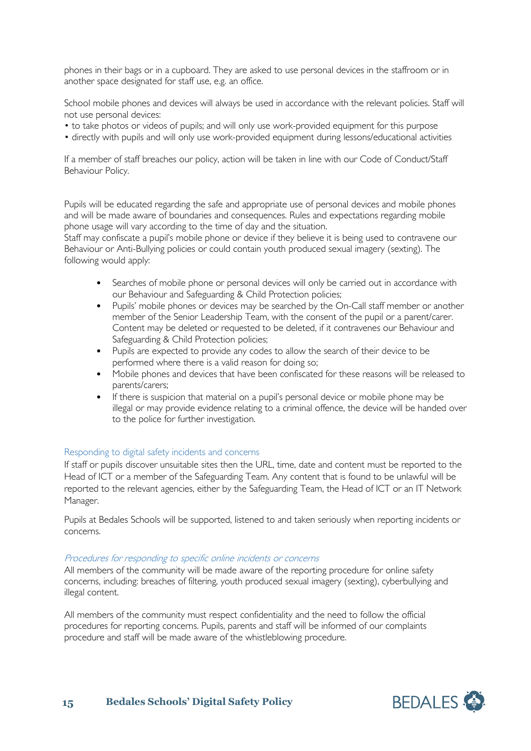phones in their bags or in a cupboard. They are asked to use personal devices in the staffroom or in another space designated for staff use, e.g. an office.

School mobile phones and devices will always be used in accordance with the relevant policies. Staff will not use personal devices:

- to take photos or videos of pupils; and will only use work-provided equipment for this purpose
- directly with pupils and will only use work-provided equipment during lessons/educational activities

If a member of staff breaches our policy, action will be taken in line with our Code of Conduct/Staff Behaviour Policy.

Pupils will be educated regarding the safe and appropriate use of personal devices and mobile phones and will be made aware of boundaries and consequences. Rules and expectations regarding mobile phone usage will vary according to the time of day and the situation.

Staff may confiscate a pupil's mobile phone or device if they believe it is being used to contravene our Behaviour or Anti-Bullying policies or could contain youth produced sexual imagery (sexting). The following would apply:

- Searches of mobile phone or personal devices will only be carried out in accordance with our Behaviour and Safeguarding & Child Protection policies;
- Pupils' mobile phones or devices may be searched by the On-Call staff member or another member of the Senior Leadership Team, with the consent of the pupil or a parent/carer. Content may be deleted or requested to be deleted, if it contravenes our Behaviour and Safeguarding & Child Protection policies;
- Pupils are expected to provide any codes to allow the search of their device to be performed where there is a valid reason for doing so;
- Mobile phones and devices that have been confiscated for these reasons will be released to parents/carers;
- If there is suspicion that material on a pupil's personal device or mobile phone may be illegal or may provide evidence relating to a criminal offence, the device will be handed over to the police for further investigation.

#### <span id="page-14-0"></span>Responding to digital safety incidents and concerns

If staff or pupils discover unsuitable sites then the URL, time, date and content must be reported to the Head of ICT or a member of the Safeguarding Team. Any content that is found to be unlawful will be reported to the relevant agencies, either by the Safeguarding Team, the Head of ICT or an IT Network Manager.

Pupils at Bedales Schools will be supported, listened to and taken seriously when reporting incidents or concerns.

#### Procedures for responding to specific online incidents or concerns

All members of the community will be made aware of the reporting procedure for online safety concerns, including: breaches of filtering, youth produced sexual imagery (sexting), cyberbullying and illegal content.

All members of the community must respect confidentiality and the need to follow the official procedures for reporting concerns. Pupils, parents and staff will be informed of our complaints procedure and staff will be made aware of the whistleblowing procedure.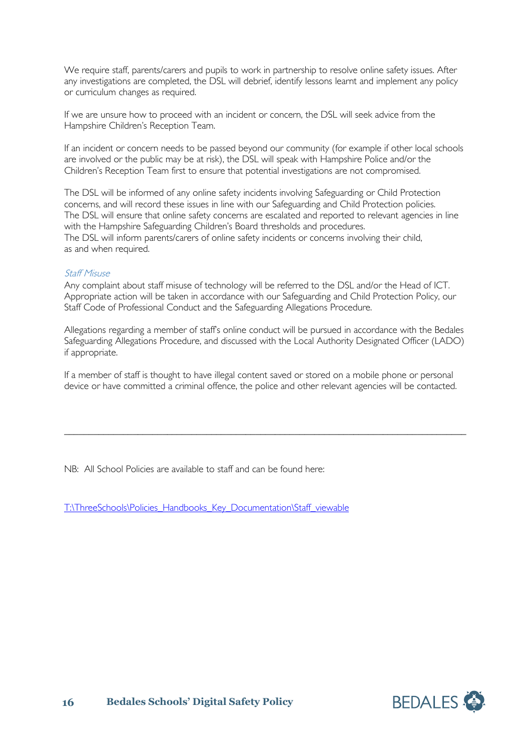We require staff, parents/carers and pupils to work in partnership to resolve online safety issues. After any investigations are completed, the DSL will debrief, identify lessons learnt and implement any policy or curriculum changes as required.

If we are unsure how to proceed with an incident or concern, the DSL will seek advice from the Hampshire Children's Reception Team.

If an incident or concern needs to be passed beyond our community (for example if other local schools are involved or the public may be at risk), the DSL will speak with Hampshire Police and/or the Children's Reception Team first to ensure that potential investigations are not compromised.

The DSL will be informed of any online safety incidents involving Safeguarding or Child Protection concerns, and will record these issues in line with our Safeguarding and Child Protection policies. The DSL will ensure that online safety concerns are escalated and reported to relevant agencies in line with the Hampshire Safeguarding Children's Board thresholds and procedures. The DSL will inform parents/carers of online safety incidents or concerns involving their child, as and when required.

### Staff Misuse

Any complaint about staff misuse of technology will be referred to the DSL and/or the Head of ICT. Appropriate action will be taken in accordance with our Safeguarding and Child Protection Policy, our Staff Code of Professional Conduct and the Safeguarding Allegations Procedure.

Allegations regarding a member of staff's online conduct will be pursued in accordance with the Bedales Safeguarding Allegations Procedure, and discussed with the Local Authority Designated Officer (LADO) if appropriate.

If a member of staff is thought to have illegal content saved or stored on a mobile phone or personal device or have committed a criminal offence, the police and other relevant agencies will be contacted.

\_\_\_\_\_\_\_\_\_\_\_\_\_\_\_\_\_\_\_\_\_\_\_\_\_\_\_\_\_\_\_\_\_\_\_\_\_\_\_\_\_\_\_\_\_\_\_\_\_\_\_\_\_\_\_\_\_\_\_\_\_\_\_\_\_\_\_\_\_\_\_\_\_\_\_\_\_\_\_\_\_\_

NB: All School Policies are available to staff and can be found here:

[T:\ThreeSchools\Policies\\_Handbooks\\_Key\\_Documentation\Staff\\_viewable](file://vm-009-fs/root$/ThreeSchools/Policies_Handbooks_Key_Documentation/Staff_viewable)

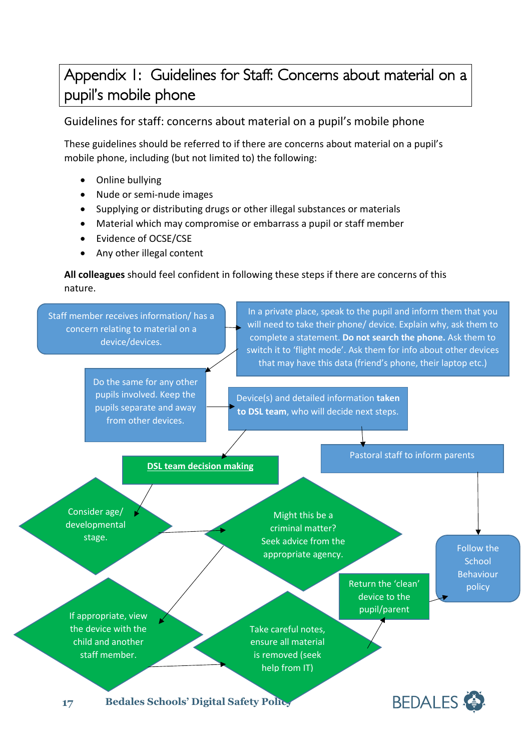# <span id="page-16-0"></span>Appendix 1: Guidelines for Staff: Concerns about material on a pupil's mobile phone

Guidelines for staff: concerns about material on a pupil's mobile phone

These guidelines should be referred to if there are concerns about material on a pupil's mobile phone, including (but not limited to) the following:

- Online bullying
- Nude or semi-nude images
- Supplying or distributing drugs or other illegal substances or materials
- Material which may compromise or embarrass a pupil or staff member
- Evidence of OCSE/CSE
- Any other illegal content

**All colleagues** should feel confident in following these steps if there are concerns of this nature.